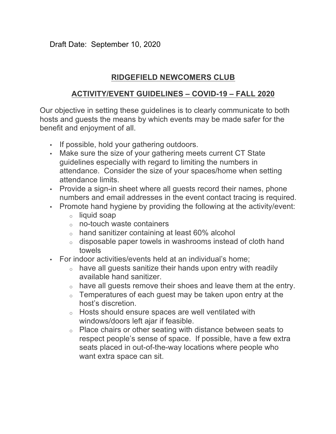## **RIDGEFIELD NEWCOMERS CLUB**

## **ACTIVITY/EVENT GUIDELINES – COVID-19 – FALL 2020**

Our objective in setting these guidelines is to clearly communicate to both hosts and guests the means by which events may be made safer for the benefit and enjoyment of all.

- If possible, hold your gathering outdoors.
- Make sure the size of your gathering meets current CT State guidelines especially with regard to limiting the numbers in attendance. Consider the size of your spaces/home when setting attendance limits.
- Provide a sign-in sheet where all guests record their names, phone numbers and email addresses in the event contact tracing is required.
- Promote hand hygiene by providing the following at the activity/event:
	- o liquid soap
	- $\circ$  no-touch waste containers
	- $\circ$  hand sanitizer containing at least 60% alcohol
	- o disposable paper towels in washrooms instead of cloth hand towels
- For indoor activities/events held at an individual's home;
	- $\circ$  have all guests sanitize their hands upon entry with readily available hand sanitizer.
	- o have all guests remove their shoes and leave them at the entry.
	- $\circ$  Temperatures of each guest may be taken upon entry at the host's discretion.
	- o Hosts should ensure spaces are well ventilated with windows/doors left ajar if feasible.
	- o Place chairs or other seating with distance between seats to respect people's sense of space. If possible, have a few extra seats placed in out-of-the-way locations where people who want extra space can sit.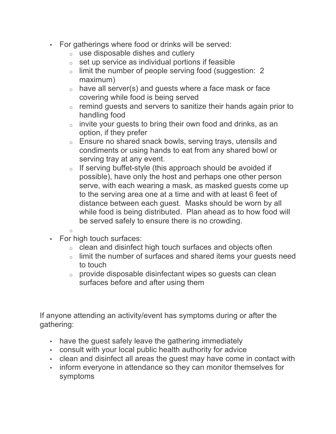- For gatherings where food or drinks will be served:
	- $\circ$  use disposable dishes and cutlery
	- $\circ$  set up service as individual portions if feasible
	- o limit the number of people serving food (suggestion: 2 maximum)
	- $\circ$  have all server(s) and guests where a face mask or face covering while food is being served
	- $\circ$  remind guests and servers to sanitize their hands again prior to handling food
	- $\circ$  invite your guests to bring their own food and drinks, as an option, if they prefer
	- o Ensure no shared snack bowls, serving trays, utensils and condiments or using hands to eat from any shared bowl or serving tray at any event.
	- $\circ$  If serving buffet-style (this approach should be avoided if possible), have only the host and perhaps one other person serve, with each wearing a mask, as masked guests come up to the serving area one at a time and with at least 6 feet of distance between each guest. Masks should be worn by all while food is being distributed. Plan ahead as to how food will be served safely to ensure there is no crowding.
	- o
- For high touch surfaces:
	- o clean and disinfect high touch surfaces and objects often
	- o limit the number of surfaces and shared items your guests need to touch
	- o provide disposable disinfectant wipes so guests can clean surfaces before and after using them

If anyone attending an activity/event has symptoms during or after the gathering:

- have the quest safely leave the gathering immediately
- consult with your local public health authority for advice
- clean and disinfect all areas the guest may have come in contact with
- inform everyone in attendance so they can monitor themselves for symptoms